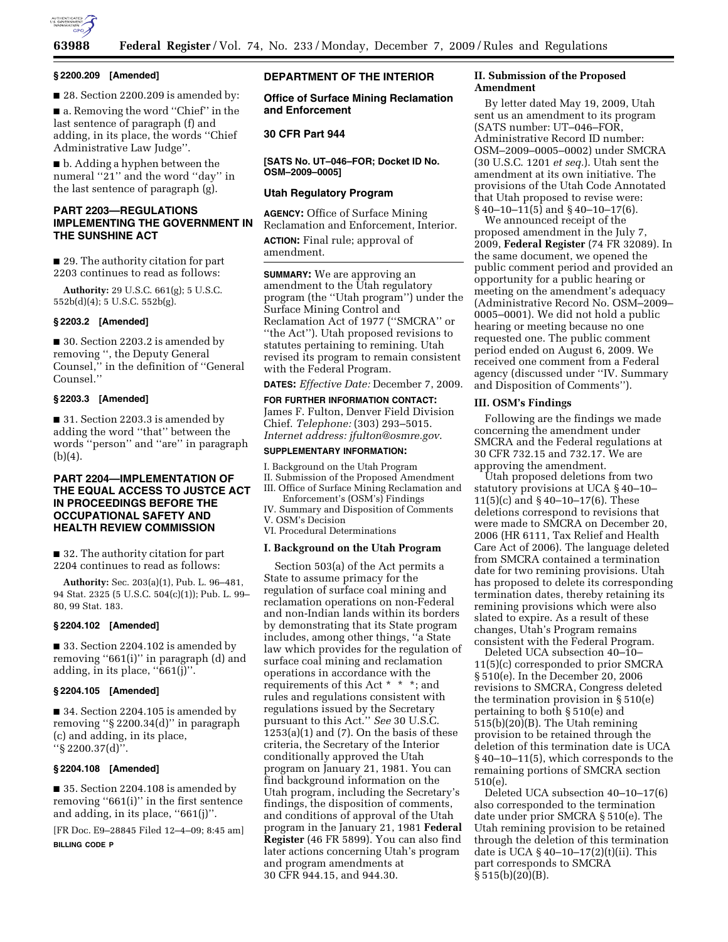

## **§ 2200.209 [Amended]**

■ 28. Section 2200.209 is amended by:

■ a. Removing the word "Chief" in the last sentence of paragraph (f) and adding, in its place, the words ''Chief Administrative Law Judge''.

■ b. Adding a hyphen between the numeral "21" and the word "day" in the last sentence of paragraph (g).

# **PART 2203—REGULATIONS IMPLEMENTING THE GOVERNMENT IN THE SUNSHINE ACT**

■ 29. The authority citation for part 2203 continues to read as follows:

**Authority:** 29 U.S.C. 661(g); 5 U.S.C. 552b(d)(4); 5 U.S.C. 552b(g).

## **§ 2203.2 [Amended]**

■ 30. Section 2203.2 is amended by removing '', the Deputy General Counsel,'' in the definition of ''General Counsel.''

## **§ 2203.3 [Amended]**

■ 31. Section 2203.3 is amended by adding the word ''that'' between the words ''person'' and ''are'' in paragraph (b)(4).

# **PART 2204—IMPLEMENTATION OF THE EQUAL ACCESS TO JUSTCE ACT IN PROCEEDINGS BEFORE THE OCCUPATIONAL SAFETY AND HEALTH REVIEW COMMISSION**

■ 32. The authority citation for part 2204 continues to read as follows:

**Authority:** Sec. 203(a)(1), Pub. L. 96–481, 94 Stat. 2325 (5 U.S.C. 504(c)(1)); Pub. L. 99– 80, 99 Stat. 183.

#### **§ 2204.102 [Amended]**

■ 33. Section 2204.102 is amended by removing ''661(i)'' in paragraph (d) and adding, in its place, ''661(j)''.

# **§ 2204.105 [Amended]**

■ 34. Section 2204.105 is amended by removing ''§ 2200.34(d)'' in paragraph (c) and adding, in its place, ''§ 2200.37(d)''.

#### **§ 2204.108 [Amended]**

■ 35. Section 2204.108 is amended by removing ''661(i)'' in the first sentence and adding, in its place, ''661(j)''.

[FR Doc. E9–28845 Filed 12–4–09; 8:45 am] **BILLING CODE P** 

# **DEPARTMENT OF THE INTERIOR**

**Office of Surface Mining Reclamation and Enforcement** 

# **30 CFR Part 944**

**[SATS No. UT–046–FOR; Docket ID No. OSM–2009–0005]** 

# **Utah Regulatory Program**

**AGENCY:** Office of Surface Mining Reclamation and Enforcement, Interior.

**ACTION:** Final rule; approval of amendment.

**SUMMARY:** We are approving an amendment to the Utah regulatory program (the ''Utah program'') under the Surface Mining Control and Reclamation Act of 1977 (''SMCRA'' or ''the Act''). Utah proposed revisions to statutes pertaining to remining. Utah revised its program to remain consistent with the Federal Program.

**DATES:** *Effective Date:* December 7, 2009.

**FOR FURTHER INFORMATION CONTACT:**  James F. Fulton, Denver Field Division Chief. *Telephone:* (303) 293–5015. *Internet address: jfulton@osmre.gov*.

# **SUPPLEMENTARY INFORMATION:**

I. Background on the Utah Program II. Submission of the Proposed Amendment III. Office of Surface Mining Reclamation and

Enforcement's (OSM's) Findings IV. Summary and Disposition of Comments

V. OSM's Decision

VI. Procedural Determinations

### **I. Background on the Utah Program**

Section 503(a) of the Act permits a State to assume primacy for the regulation of surface coal mining and reclamation operations on non-Federal and non-Indian lands within its borders by demonstrating that its State program includes, among other things, ''a State law which provides for the regulation of surface coal mining and reclamation operations in accordance with the requirements of this Act \* \* \*; and rules and regulations consistent with regulations issued by the Secretary pursuant to this Act.'' *See* 30 U.S.C.  $1253(a)(1)$  and  $(7)$ . On the basis of these criteria, the Secretary of the Interior conditionally approved the Utah program on January 21, 1981. You can find background information on the Utah program, including the Secretary's findings, the disposition of comments, and conditions of approval of the Utah program in the January 21, 1981 **Federal Register** (46 FR 5899). You can also find later actions concerning Utah's program and program amendments at 30 CFR 944.15, and 944.30.

# **II. Submission of the Proposed Amendment**

By letter dated May 19, 2009, Utah sent us an amendment to its program (SATS number: UT–046–FOR, Administrative Record ID number: OSM–2009–0005–0002) under SMCRA (30 U.S.C. 1201 *et seq.*). Utah sent the amendment at its own initiative. The provisions of the Utah Code Annotated that Utah proposed to revise were: § 40–10–11(5) and § 40–10–17(6).

We announced receipt of the proposed amendment in the July 7, 2009, **Federal Register** (74 FR 32089). In the same document, we opened the public comment period and provided an opportunity for a public hearing or meeting on the amendment's adequacy (Administrative Record No. OSM–2009– 0005–0001). We did not hold a public hearing or meeting because no one requested one. The public comment period ended on August 6, 2009. We received one comment from a Federal agency (discussed under ''IV. Summary and Disposition of Comments'').

## **III. OSM's Findings**

Following are the findings we made concerning the amendment under SMCRA and the Federal regulations at 30 CFR 732.15 and 732.17. We are approving the amendment.

Utah proposed deletions from two statutory provisions at UCA § 40–10– 11(5)(c) and § 40–10–17(6). These deletions correspond to revisions that were made to SMCRA on December 20, 2006 (HR 6111, Tax Relief and Health Care Act of 2006). The language deleted from SMCRA contained a termination date for two remining provisions. Utah has proposed to delete its corresponding termination dates, thereby retaining its remining provisions which were also slated to expire. As a result of these changes, Utah's Program remains consistent with the Federal Program.

Deleted UCA subsection 40–10– 11(5)(c) corresponded to prior SMCRA § 510(e). In the December 20, 2006 revisions to SMCRA, Congress deleted the termination provision in § 510(e) pertaining to both § 510(e) and 515(b)(20)(B). The Utah remining provision to be retained through the deletion of this termination date is UCA § 40–10–11(5), which corresponds to the remaining portions of SMCRA section 510(e).

Deleted UCA subsection 40–10–17(6) also corresponded to the termination date under prior SMCRA § 510(e). The Utah remining provision to be retained through the deletion of this termination date is UCA § 40–10–17(2)(t)(ii). This part corresponds to SMCRA § 515(b)(20)(B).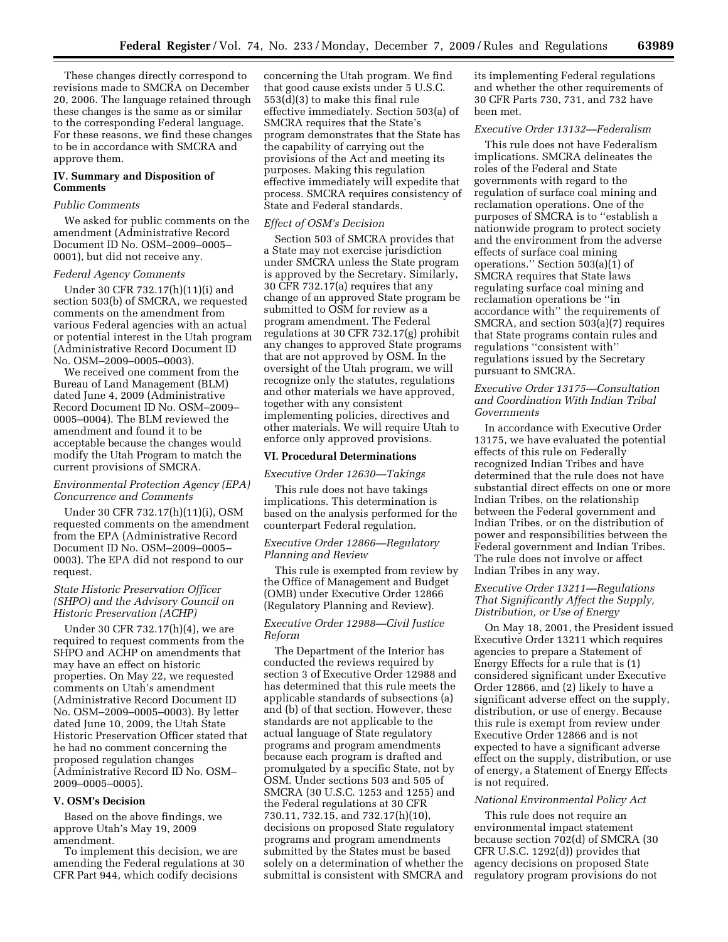These changes directly correspond to revisions made to SMCRA on December 20, 2006. The language retained through these changes is the same as or similar to the corresponding Federal language. For these reasons, we find these changes to be in accordance with SMCRA and approve them.

# **IV. Summary and Disposition of Comments**

#### *Public Comments*

We asked for public comments on the amendment (Administrative Record Document ID No. OSM–2009–0005– 0001), but did not receive any.

## *Federal Agency Comments*

Under 30 CFR 732.17(h)(11)(i) and section 503(b) of SMCRA, we requested comments on the amendment from various Federal agencies with an actual or potential interest in the Utah program (Administrative Record Document ID No. OSM–2009–0005–0003).

We received one comment from the Bureau of Land Management (BLM) dated June 4, 2009 (Administrative Record Document ID No. OSM–2009– 0005–0004). The BLM reviewed the amendment and found it to be acceptable because the changes would modify the Utah Program to match the current provisions of SMCRA.

# *Environmental Protection Agency (EPA) Concurrence and Comments*

Under 30 CFR 732.17(h)(11)(i), OSM requested comments on the amendment from the EPA (Administrative Record Document ID No. OSM–2009–0005– 0003). The EPA did not respond to our request.

## *State Historic Preservation Officer (SHPO) and the Advisory Council on Historic Preservation (ACHP)*

Under 30 CFR 732.17(h)(4), we are required to request comments from the SHPO and ACHP on amendments that may have an effect on historic properties. On May 22, we requested comments on Utah's amendment (Administrative Record Document ID No. OSM–2009–0005–0003). By letter dated June 10, 2009, the Utah State Historic Preservation Officer stated that he had no comment concerning the proposed regulation changes (Administrative Record ID No. OSM– 2009–0005–0005).

#### **V. OSM's Decision**

Based on the above findings, we approve Utah's May 19, 2009 amendment.

To implement this decision, we are amending the Federal regulations at 30 CFR Part 944, which codify decisions

concerning the Utah program. We find that good cause exists under 5 U.S.C. 553(d)(3) to make this final rule effective immediately. Section 503(a) of SMCRA requires that the State's program demonstrates that the State has the capability of carrying out the provisions of the Act and meeting its purposes. Making this regulation effective immediately will expedite that process. SMCRA requires consistency of State and Federal standards.

#### *Effect of OSM's Decision*

Section 503 of SMCRA provides that a State may not exercise jurisdiction under SMCRA unless the State program is approved by the Secretary. Similarly, 30 CFR 732.17(a) requires that any change of an approved State program be submitted to OSM for review as a program amendment. The Federal regulations at 30 CFR 732.17(g) prohibit any changes to approved State programs that are not approved by OSM. In the oversight of the Utah program, we will recognize only the statutes, regulations and other materials we have approved, together with any consistent implementing policies, directives and other materials. We will require Utah to enforce only approved provisions.

#### **VI. Procedural Determinations**

#### *Executive Order 12630—Takings*

This rule does not have takings implications. This determination is based on the analysis performed for the counterpart Federal regulation.

# *Executive Order 12866—Regulatory Planning and Review*

This rule is exempted from review by the Office of Management and Budget (OMB) under Executive Order 12866 (Regulatory Planning and Review).

# *Executive Order 12988—Civil Justice Reform*

The Department of the Interior has conducted the reviews required by section 3 of Executive Order 12988 and has determined that this rule meets the applicable standards of subsections (a) and (b) of that section. However, these standards are not applicable to the actual language of State regulatory programs and program amendments because each program is drafted and promulgated by a specific State, not by OSM. Under sections 503 and 505 of SMCRA (30 U.S.C. 1253 and 1255) and the Federal regulations at 30 CFR 730.11, 732.15, and 732.17(h)(10), decisions on proposed State regulatory programs and program amendments submitted by the States must be based solely on a determination of whether the submittal is consistent with SMCRA and its implementing Federal regulations and whether the other requirements of 30 CFR Parts 730, 731, and 732 have been met.

# *Executive Order 13132—Federalism*

This rule does not have Federalism implications. SMCRA delineates the roles of the Federal and State governments with regard to the regulation of surface coal mining and reclamation operations. One of the purposes of SMCRA is to ''establish a nationwide program to protect society and the environment from the adverse effects of surface coal mining operations.'' Section 503(a)(1) of SMCRA requires that State laws regulating surface coal mining and reclamation operations be ''in accordance with'' the requirements of SMCRA, and section 503(a)(7) requires that State programs contain rules and regulations ''consistent with'' regulations issued by the Secretary pursuant to SMCRA.

## *Executive Order 13175—Consultation and Coordination With Indian Tribal Governments*

In accordance with Executive Order 13175, we have evaluated the potential effects of this rule on Federally recognized Indian Tribes and have determined that the rule does not have substantial direct effects on one or more Indian Tribes, on the relationship between the Federal government and Indian Tribes, or on the distribution of power and responsibilities between the Federal government and Indian Tribes. The rule does not involve or affect Indian Tribes in any way.

## *Executive Order 13211—Regulations That Significantly Affect the Supply, Distribution, or Use of Energy*

On May 18, 2001, the President issued Executive Order 13211 which requires agencies to prepare a Statement of Energy Effects for a rule that is (1) considered significant under Executive Order 12866, and (2) likely to have a significant adverse effect on the supply, distribution, or use of energy. Because this rule is exempt from review under Executive Order 12866 and is not expected to have a significant adverse effect on the supply, distribution, or use of energy, a Statement of Energy Effects is not required.

#### *National Environmental Policy Act*

This rule does not require an environmental impact statement because section 702(d) of SMCRA (30 CFR U.S.C. 1292(d)) provides that agency decisions on proposed State regulatory program provisions do not